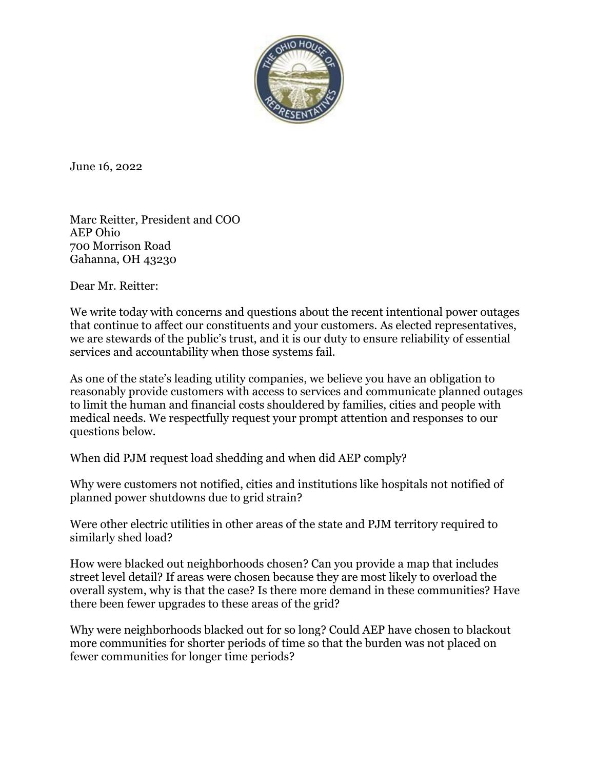

June 16, 2022

Marc Reitter, President and COO AEP Ohio 700 Morrison Road Gahanna, OH 43230

Dear Mr. Reitter:

We write today with concerns and questions about the recent intentional power outages that continue to affect our constituents and your customers. As elected representatives, we are stewards of the public's trust, and it is our duty to ensure reliability of essential services and accountability when those systems fail.

As one of the state's leading utility companies, we believe you have an obligation to reasonably provide customers with access to services and communicate planned outages to limit the human and financial costs shouldered by families, cities and people with medical needs. We respectfully request your prompt attention and responses to our questions below.

When did PJM request load shedding and when did AEP comply?

Why were customers not notified, cities and institutions like hospitals not notified of planned power shutdowns due to grid strain?

Were other electric utilities in other areas of the state and PJM territory required to similarly shed load?

How were blacked out neighborhoods chosen? Can you provide a map that includes street level detail? If areas were chosen because they are most likely to overload the overall system, why is that the case? Is there more demand in these communities? Have there been fewer upgrades to these areas of the grid?

Why were neighborhoods blacked out for so long? Could AEP have chosen to blackout more communities for shorter periods of time so that the burden was not placed on fewer communities for longer time periods?